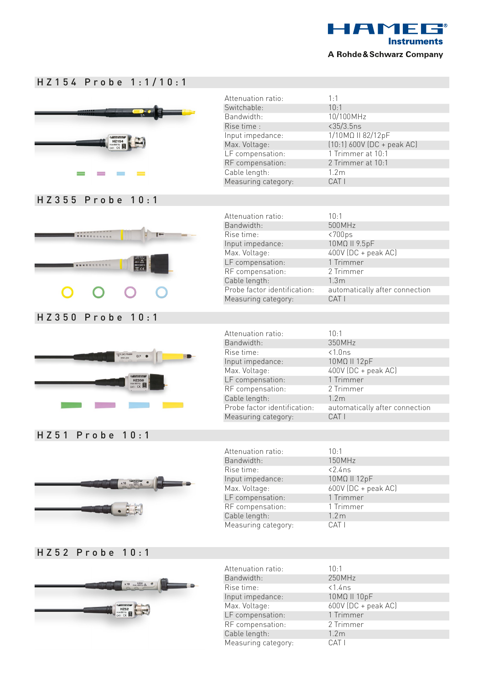

| HZ154 Probe 1:1/10:1 |  |
|----------------------|--|
|----------------------|--|



Max. Voltage: 600V (DC + peak AC)

LF compensation: 1 Trimmer RF compensation: 2 Trimmer Cable length: 1.2m Measuring category: CAT I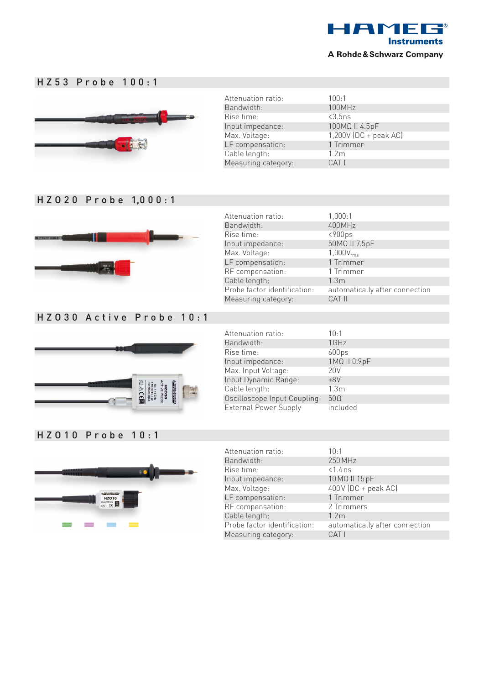

## HZ53 Probe 100:1



Attenuation ratio: 100:1 Bandwidth: 100MHz Rise time: <3.5ns<br>Input impedance: <3.5ns<br>Input impedance: <a> Input impedance: Max. Voltage: 1,200V (DC + peak AC) LF compensation: 1 Trimmer Cable length: 1.2m<br>Measuring category: CAT I Measuring category:

### H Z O 2 0 P r o b e 1,0 0 0 : 1



## HZO30 Active Probe 10:1



| Attenuation ratio:           | 1,000:1                        |
|------------------------------|--------------------------------|
| Bandwidth:                   | 400MHz                         |
| Rise time:                   | $<$ 900 $<$                    |
| Input impedance:             | 50MΩ II 7.5pF                  |
| Max. Voltage:                | $1,000V_{rms}$                 |
| LF compensation:             | 1 Trimmer                      |
| RF compensation:             | 1 Trimmer                      |
| Cable length:                | 1.3 <sub>m</sub>               |
| Probe factor identification: | automatically after connection |
| Measuring category:          | CAT II                         |
|                              |                                |
|                              |                                |

| Attenuation ratio:           | $10-1$            |
|------------------------------|-------------------|
| Bandwidth:                   | 1GHz              |
| Rise time:                   | 600 <sub>ps</sub> |
| Input impedance:             | 1ΜΩ II 0.9pF      |
| Max. Input Voltage:          | 20 <sub>V</sub>   |
| Input Dynamic Range:         | ±8V               |
| Cable length:                | 1.3 <sub>m</sub>  |
| Oscilloscope Input Coupling: | $50\Omega$        |
| <b>External Power Supply</b> | included          |

### HZO10 Probe 10:1



| Attenuation ratio:           | $10-1$                         |
|------------------------------|--------------------------------|
| Bandwidth:                   | 250 MHz                        |
| Rise time:                   | $< 1.4$ ns                     |
| Input impedance:             | 10 MΩ II 15 pF                 |
| Max. Voltage:                | $400V$ (DC + peak AC)          |
| LF compensation:             | 1 Trimmer                      |
| RF compensation:             | 2 Trimmers                     |
| Cable length:                | 1.2 <sub>m</sub>               |
| Probe factor identification: | automatically after connection |
| Measuring category:          | CAT I                          |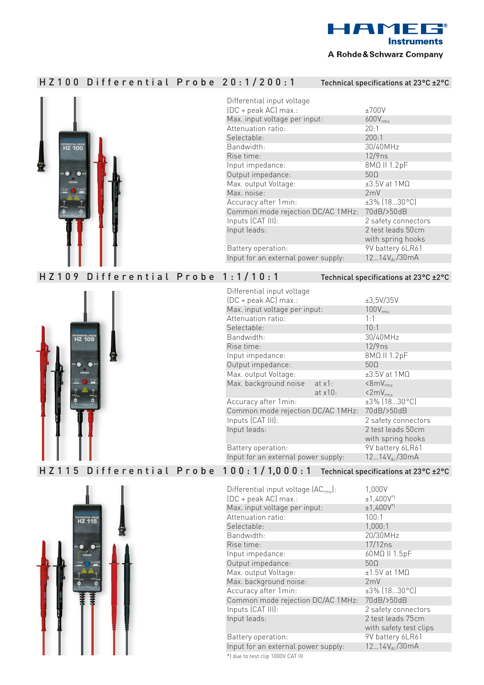

#### A Rohde & Schwarz Company

# HZ100 Differential Probe 20:1/200:1 Technical specifications at 23°C ±2°C



| Differential input voltage          |                            |
|-------------------------------------|----------------------------|
| (DC + peak AC) max.:                | ±700V                      |
| Max. input voltage per input:       | $600V_{rms}$               |
| Attenuation ratio:                  | 20:1                       |
| Selectable:                         | 200:1                      |
| Bandwidth:                          | 30/40MHz                   |
| Rise time:                          | $12/9$ ns                  |
| Input impedance:                    | 8ΜΩ II 1.2pF               |
| Output impedance:                   | 500                        |
| Max. output Voltage:                | $\pm 3.5$ V at 1M $\Omega$ |
| Max. noise:                         | 2mV                        |
| Accuracy after 1 min:               | $±3\%$ (1830°C)            |
| Common mode rejection DC/AC 1MHz:   | 70dB/>50dB                 |
| Inputs (CAT III):                   | 2 safety connectors        |
| Input leads:                        | 2 test leads 50cm          |
|                                     | with spring hooks          |
| Battery operation:                  | 9V battery 6LR61           |
| Input for an external power supply: | $1214V_{dc}/30mA$          |

## HZ109 Differential Probe 1:1/10:1 Technical specifications at 23°C ±2°C



| Differential input voltage          |            |                     |
|-------------------------------------|------------|---------------------|
| (DC + peak AC) max.:                |            | ±3,5V/35V           |
| Max. input voltage per input:       |            | 100V <sub>rms</sub> |
| Attenuation ratio:                  |            | 1:1                 |
| Selectable:                         |            | 10:1                |
| Bandwidth:                          |            | 30/40MHz            |
| Rise time:                          |            | $12/9$ ns           |
| Input impedance:                    |            | 8ΜΩ II 1.2pF        |
| Output impedance:                   |            | 500                 |
| Max. output Voltage:                |            | $±3.5V$ at 1MQ      |
| Max. background noise               | at $x1$ :  | $\langle 8mV_{rms}$ |
|                                     | at $x10$ : | $\langle 2mV_{rms}$ |
| Accuracy after 1min:                |            | ±3% (1830°C)        |
| Common mode rejection DC/AC 1MHz:   |            | 70dB/>50dB          |
| Inputs (CAT III):                   |            | 2 safety connectors |
| Input leads:                        |            | 2 test leads 50cm   |
|                                     |            | with spring hooks   |
| Battery operation:                  |            | 9V battery 6LR61    |
| Input for an external power supply: |            | $1214V_{dc}/30mA$   |
|                                     |            |                     |

# H Z 1 1 5 D i f f e r e n t i a l P r o b e 1 0 0 : 1 / 1,0 0 0 : 1 Technical specifications at 23°C ±2°C



| Differential input voltage (AC <sub>rms</sub> ): | 1,000V                  |
|--------------------------------------------------|-------------------------|
| (DC + peak AC) max.:                             | $±1,400V$ <sup>*)</sup> |
| Max. input voltage per input:                    | $±1,400V$ <sup>*)</sup> |
| Attenuation ratio:                               | 100:1                   |
| Selectable:                                      | 1,000:1                 |
| Bandwidth:                                       | 20/30MHz                |
| Rise time:                                       | 17/12ns                 |
| Input impedance:                                 | 60MΩ II 1.5pF           |
| Output impedance:                                | 500                     |
| Max. output Voltage:                             | $±1.5V$ at 1M $\Omega$  |
| Max. background noise:                           | 2mV                     |
| Accuracy after 1min:                             | $±3\%$ [1830 °C]        |
| Common mode rejection DC/AC 1MHz:                | 70dB/>50dB              |
| Inputs (CAT III):                                | 2 safety connectors     |
| Input leads:                                     | 2 test leads 75cm       |
|                                                  | with safety test clips  |
| Battery operation:                               | 9V battery 6LR61        |
| Input for an external power supply:              | $1214V_{dc}/30mA$       |
| *) due to test clip 1000V CAT III                |                         |